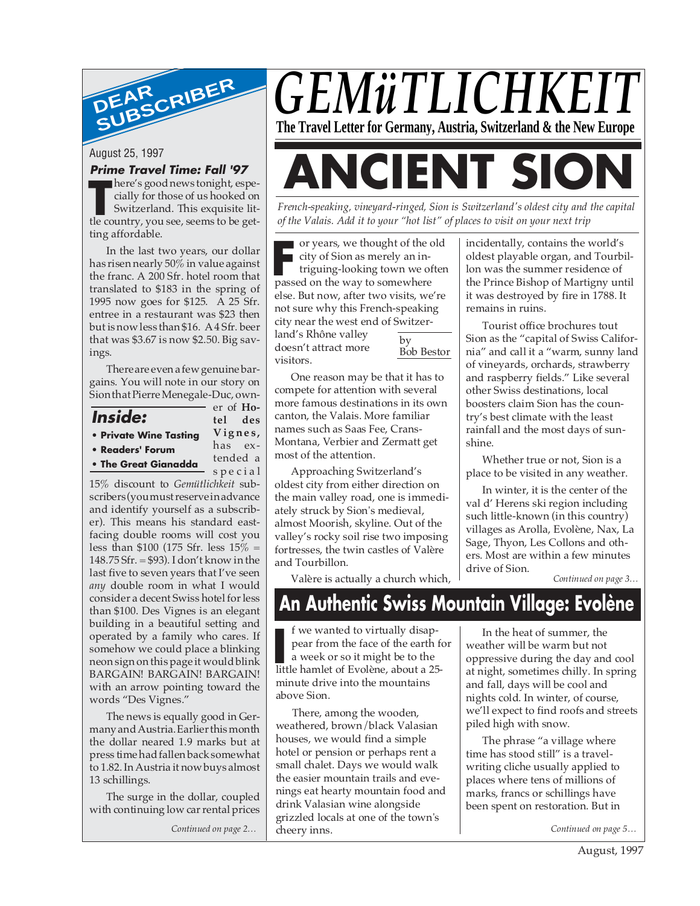

August 25, 1997

#### **Prime Travel Time: Fall '97**

here's good news tonight, especially for those of us hooked on Switzerland. This exquisite lithere's good news tonight, especially for those of us hooked on<br>Switzerland. This exquisite lit-<br>tle country, you see, seems to be getting affordable.

In the last two years, our dollar has risen nearly 50% in value against the franc. A 200 Sfr. hotel room that translated to \$183 in the spring of 1995 now goes for \$125. A 25 Sfr. entree in a restaurant was \$23 then but is now less than \$16. A 4 Sfr. beer that was \$3.67 is now \$2.50. Big savings.

There are even a few genuine bargains. You will note in our story on Sion that Pierre Menegale-Duc, own-

**Inside:**

**• Private Wine Tasting**

**• Readers' Forum**

**• The Great Gianadda**

tended a special

er of **Hotel des Vignes,** has ex-

15% discount to *Gemütlichkeit* subscribers (you must reserve in advance and identify yourself as a subscriber). This means his standard eastfacing double rooms will cost you less than \$100 (175 Sfr. less  $15\%$  = 148.75 Sfr. = \$93). I don't know in the last five to seven years that I've seen *any* double room in what I would consider a decent Swiss hotel for less than \$100. Des Vignes is an elegant building in a beautiful setting and operated by a family who cares. If somehow we could place a blinking neon sign on this page it would blink BARGAIN! BARGAIN! BARGAIN! with an arrow pointing toward the words "Des Vignes."

The news is equally good in Germany and Austria. Earlier this month the dollar neared 1.9 marks but at press time had fallen back somewhat to 1.82. In Austria it now buys almost 13 schillings.

The surge in the dollar, coupled with continuing low car rental prices

*Continued on page 2…*



# **ANCIENT SION**

*French-speaking, vineyard-ringed, Sion is Switzerland's oldest city and the capital of the Valais. Add it to your "hot list" of places to visit on your next trip*

or years, we thought of the old city of Sion as merely an in-

triguing-looking town we often Fractive or years, we thought of the comparison of the comparison of the value of the way to somewhere passed on the way to somewhere else. But now, after two visits, we're not sure why this French-speaking city near the west end of Switzerland's Rhône valley doesn't attract more by

visitors.

Bob Bestor

One reason may be that it has to compete for attention with several more famous destinations in its own canton, the Valais. More familiar names such as Saas Fee, Crans-Montana, Verbier and Zermatt get most of the attention.

Approaching Switzerland's oldest city from either direction on the main valley road, one is immediately struck by Sion's medieval, almost Moorish, skyline. Out of the valley's rocky soil rise two imposing fortresses, the twin castles of Valère and Tourbillon.

Valère is actually a church which,

incidentally, contains the world's oldest playable organ, and Tourbillon was the summer residence of the Prince Bishop of Martigny until it was destroyed by fire in 1788. It remains in ruins.

Tourist office brochures tout Sion as the "capital of Swiss California" and call it a "warm, sunny land of vineyards, orchards, strawberry and raspberry fields." Like several other Swiss destinations, local boosters claim Sion has the country's best climate with the least rainfall and the most days of sunshine.

Whether true or not, Sion is a place to be visited in any weather.

In winter, it is the center of the val d' Herens ski region including such little-known (in this country) villages as Arolla, Evolène, Nax, La Sage, Thyon, Les Collons and others. Most are within a few minutes drive of Sion.

*Continued on page 3…*

## **An Authentic Swiss Mountain Village: Evolène**

f we wanted to virtually disappear from the face of the earth for a week or so it might be to the I we wanted to virtually disap-<br>pear from the face of the earth for<br>a week or so it might be to the<br>little hamlet of Evolène, about a 25minute drive into the mountains above Sion.

There, among the wooden, weathered, brown/black Valasian houses, we would find a simple hotel or pension or perhaps rent a small chalet. Days we would walk the easier mountain trails and evenings eat hearty mountain food and drink Valasian wine alongside grizzled locals at one of the town's cheery inns.

In the heat of summer, the weather will be warm but not oppressive during the day and cool at night, sometimes chilly. In spring and fall, days will be cool and nights cold. In winter, of course, we'll expect to find roofs and streets piled high with snow.

The phrase "a village where time has stood still" is a travelwriting cliche usually applied to places where tens of millions of marks, francs or schillings have been spent on restoration. But in

*Continued on page 5…*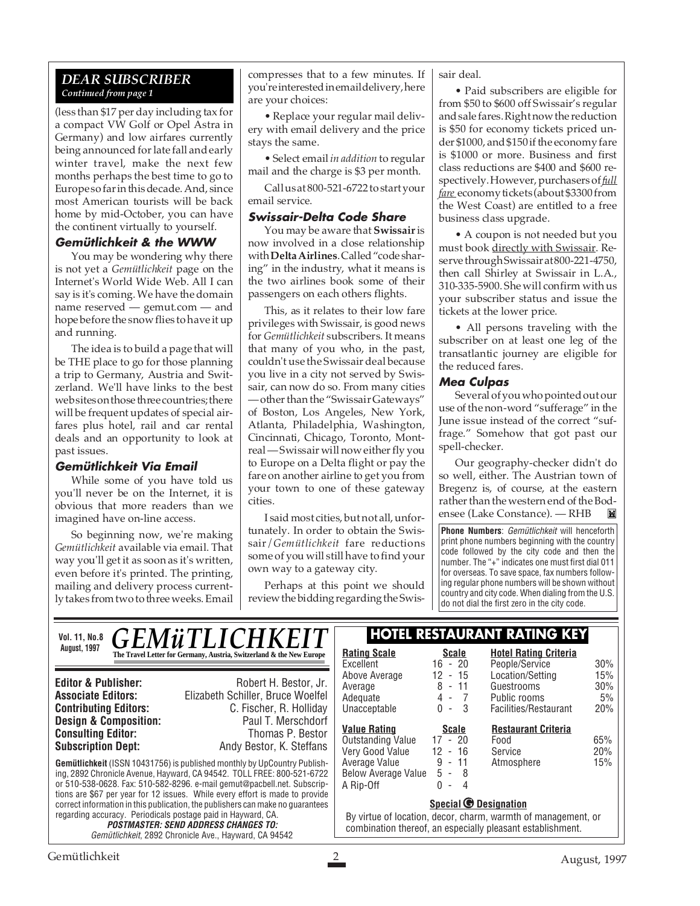#### *DEAR SUBSCRIBER Continued from page 1*

(less than \$17 per day including tax for a compact VW Golf or Opel Astra in Germany) and low airfares currently being announced for late fall and early winter travel, make the next few months perhaps the best time to go to Europe so far in this decade. And, since most American tourists will be back home by mid-October, you can have the continent virtually to yourself.

#### **Gemütlichkeit & the WWW**

You may be wondering why there is not yet a *Gemütlichkeit* page on the Internet's World Wide Web. All I can say is it's coming. We have the domain name reserved — gemut.com — and hope before the snow flies to have it up and running.

The idea is to build a page that will be THE place to go for those planning a trip to Germany, Austria and Switzerland. We'll have links to the best web sites on those three countries; there will be frequent updates of special airfares plus hotel, rail and car rental deals and an opportunity to look at past issues.

#### **Gemütlichkeit Via Email**

While some of you have told us you'll never be on the Internet, it is obvious that more readers than we imagined have on-line access.

So beginning now, we're making *Gemütlichkeit* available via email. That way you'll get it as soon as it's written, even before it's printed. The printing, mailing and delivery process currently takes from two to three weeks. Email compresses that to a few minutes. If you're interested in email delivery, here are your choices:

• Replace your regular mail delivery with email delivery and the price stays the same.

• Select email *in addition* to regular mail and the charge is \$3 per month.

Call us at 800-521-6722 to start your email service.

#### **Swissair-Delta Code Share**

You may be aware that **Swissair** is now involved in a close relationship with **Delta Airlines**. Called "code sharing" in the industry, what it means is the two airlines book some of their passengers on each others flights.

This, as it relates to their low fare privileges with Swissair, is good news for *Gemütlichkeit* subscribers. It means that many of you who, in the past, couldn't use the Swissair deal because you live in a city not served by Swissair, can now do so. From many cities — other than the "Swissair Gateways" of Boston, Los Angeles, New York, Atlanta, Philadelphia, Washington, Cincinnati, Chicago, Toronto, Montreal — Swissair will now either fly you to Europe on a Delta flight or pay the fare on another airline to get you from your town to one of these gateway cities.

I said most cities, but not all, unfortunately. In order to obtain the Swissair/*Gemütlichkeit* fare reductions some of you will still have to find your own way to a gateway city.

Perhaps at this point we should review the bidding regarding the Swissair deal.

• Paid subscribers are eligible for from \$50 to \$600 off Swissair's regular and sale fares. Right now the reduction is \$50 for economy tickets priced under \$1000, and \$150 if the economy fare is \$1000 or more. Business and first class reductions are \$400 and \$600 respectively. However, purchasers of *full fare* economy tickets (about \$3300 from the West Coast) are entitled to a free business class upgrade.

• A coupon is not needed but you must book directly with Swissair. Reserve through Swissair at 800-221-4750, then call Shirley at Swissair in L.A., 310-335-5900. She will confirm with us your subscriber status and issue the tickets at the lower price.

• All persons traveling with the subscriber on at least one leg of the transatlantic journey are eligible for the reduced fares.

#### **Mea Culpas**

Several of you who pointed out our use of the non-word "sufferage" in the June issue instead of the correct "suffrage." Somehow that got past our spell-checker.

Our geography-checker didn't do so well, either. The Austrian town of Bregenz is, of course, at the eastern rather than the western end of the Bodensee (Lake Constance). — RHB

**Phone Numbers**: Gemütlichkeit will henceforth print phone numbers beginning with the country code followed by the city code and then the number. The "+" indicates one must first dial 011 for overseas. To save space, fax numbers following regular phone numbers will be shown without country and city code. When dialing from the U.S. do not dial the first zero in the city code.

**Gemütlichkeit** (ISSN 10431756) is published monthly by UpCountry Publishing, 2892 Chronicle Avenue, Hayward, CA 94542. TOLL FREE: 800-521-6722 or 510-538-0628. Fax: 510-582-8296. e-mail gemut@pacbell.net. Subscriptions are \$67 per year for 12 issues. While every effort is made to provide correct information in this publication, the publishers can make no guarantees regarding accuracy. Periodicals postage paid in Hayward, CA. **POSTMASTER: SEND ADDRESS CHANGES TO:** Gemütlichkeit, 2892 Chronicle Ave., Hayward, CA 94542 **Editor & Publisher:** Robert H. Bestor, Jr. **Associate Editors:** Elizabeth Schiller, Bruce Woelfel **Contributing Editors:** C. Fischer, R. Holliday **Design & Composition:** Paul T. Merschdorf **Consulting Editor:** Thomas P. Bestor **Subscription Dept:** Andy Bestor, K. Steffans Vol. 11, No.8 **CEM** *ii* **TI ICHKEIT HOTEL RESTAURANT RATING KEY** August, 1997<br> **The Travel Letter for Germany, Austria, Switzerland & the New Europe** Rating Scale<br>
<u>Rating Scale</u> Excellent 16 - 20<br>Above Average 12 - 15 Above Average Average 8 - 11 Adequate 4 - 7<br>Unacceptable 0 - 3 Unacceptable **Hotel Rating Criteria** People/Service 30% Location/Setting 15%<br>Guestrooms 30% Guestrooms Public rooms 5% Facilities/Restaurant 20% **Special © Designation** By virtue of location, decor, charm, warmth of management, or combination thereof, an especially pleasant establishment. **Value Rating Scale** Outstanding Value 17 - 20 Very Good Value 12 - 16 Average Value 9 - 11 Below Average Value 5 - 8  $A$  Rip-Off **Restaurant Criteria** Food 65% Service 20%<br>Atmosphere 15% Atmosphere *GEMüTLICHK*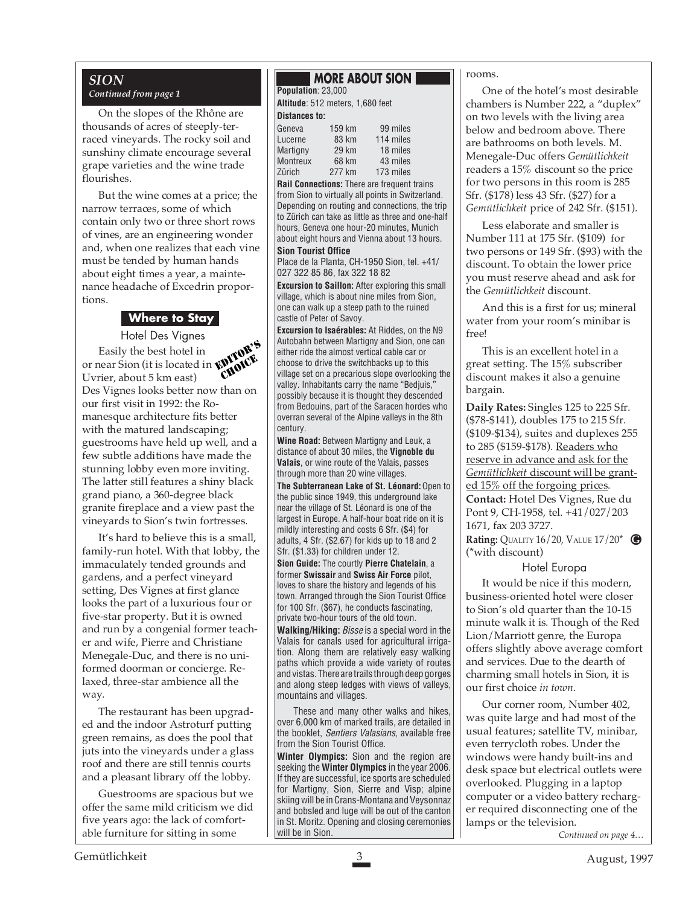## *SION*

#### *Continued from page 1*

On the slopes of the Rhône are thousands of acres of steeply-terraced vineyards. The rocky soil and sunshiny climate encourage several grape varieties and the wine trade flourishes.

But the wine comes at a price; the narrow terraces, some of which contain only two or three short rows of vines, are an engineering wonder and, when one realizes that each vine must be tended by human hands about eight times a year, a maintenance headache of Excedrin proportions.

#### **Where to Stay**

Hotel Des Vignes Easily the best hotel in or near Sion (it is located in Uvrier, about 5 km east) Des Vignes looks better now than on our first visit in 1992: the Romanesque architecture fits better with the matured landscaping; guestrooms have held up well, and a few subtle additions have made the stunning lobby even more inviting. The latter still features a shiny black grand piano, a 360-degree black granite fireplace and a view past the vineyards to Sion's twin fortresses. EDITOR'S CHOICE

It's hard to believe this is a small, family-run hotel. With that lobby, the immaculately tended grounds and gardens, and a perfect vineyard setting, Des Vignes at first glance looks the part of a luxurious four or five-star property. But it is owned and run by a congenial former teacher and wife, Pierre and Christiane Menegale-Duc, and there is no uniformed doorman or concierge. Relaxed, three-star ambience all the way.

The restaurant has been upgraded and the indoor Astroturf putting green remains, as does the pool that juts into the vineyards under a glass roof and there are still tennis courts and a pleasant library off the lobby.

Guestrooms are spacious but we offer the same mild criticism we did five years ago: the lack of comfortable furniture for sitting in some

## **MORE ABOUT SION**

**Population**: 23,000 **Altitude**: 512 meters, 1,680 feet

#### **Distances to:**

| 159 km | 99 miles  |
|--------|-----------|
| 83 km  | 114 miles |
| 29 km  | 18 miles  |
| 68 km  | 43 miles  |
| 277 km | 173 miles |
|        |           |

**Rail Connections:** There are frequent trains from Sion to virtually all points in Switzerland. Depending on routing and connections, the trip to Zürich can take as little as three and one-half hours, Geneva one hour-20 minutes, Munich about eight hours and Vienna about 13 hours. **Sion Tourist Office**

Place de la Planta, CH-1950 Sion, tel. +41/ 027 322 85 86, fax 322 18 82

**Excursion to Saillon:** After exploring this small village, which is about nine miles from Sion, one can walk up a steep path to the ruined castle of Peter of Savoy.

**Excursion to Isaérables:** At Riddes, on the N9 Autobahn between Martigny and Sion, one can either ride the almost vertical cable car or choose to drive the switchbacks up to this village set on a precarious slope overlooking the valley. Inhabitants carry the name "Bedjuis," possibly because it is thought they descended from Bedouins, part of the Saracen hordes who overran several of the Alpine valleys in the 8th century.

**Wine Road:** Between Martigny and Leuk, a distance of about 30 miles, the **Vignoble du Valais**, or wine route of the Valais, passes through more than 20 wine villages.

**The Subterranean Lake of St. Léonard:** Open to the public since 1949, this underground lake near the village of St. Léonard is one of the largest in Europe. A half-hour boat ride on it is mildly interesting and costs 6 Sfr. (\$4) for adults, 4 Sfr. (\$2.67) for kids up to 18 and 2 Sfr. (\$1.33) for children under 12.

**Sion Guide:** The courtly **Pierre Chatelain**, a former **Swissair** and **Swiss Air Force** pilot, loves to share the history and legends of his town. Arranged through the Sion Tourist Office for 100 Sfr. (\$67), he conducts fascinating, private two-hour tours of the old town.

**Walking/Hiking:** Bisse is a special word in the Valais for canals used for agricultural irrigation. Along them are relatively easy walking paths which provide a wide variety of routes and vistas. There are trails through deep gorges and along steep ledges with views of valleys, mountains and villages.

These and many other walks and hikes, over 6,000 km of marked trails, are detailed in the booklet, Sentiers Valasians, available free from the Sion Tourist Office.

**Winter Olympics:** Sion and the region are seeking the **Winter Olympics** in the year 2006. If they are successful, ice sports are scheduled for Martigny, Sion, Sierre and Visp; alpine skiing will be in Crans-Montana and Veysonnaz and bobsled and luge will be out of the canton in St. Moritz. Opening and closing ceremonies will be in Sion.

#### rooms.

One of the hotel's most desirable chambers is Number 222, a "duplex" on two levels with the living area below and bedroom above. There are bathrooms on both levels. M. Menegale-Duc offers *Gemütlichkeit* readers a 15% discount so the price for two persons in this room is 285 Sfr. (\$178) less 43 Sfr. (\$27) for a *Gemütlichkeit* price of 242 Sfr. (\$151).

Less elaborate and smaller is Number 111 at 175 Sfr. (\$109) for two persons or 149 Sfr. (\$93) with the discount. To obtain the lower price you must reserve ahead and ask for the *Gemütlichkeit* discount.

And this is a first for us; mineral water from your room's minibar is free!

This is an excellent hotel in a great setting. The 15% subscriber discount makes it also a genuine bargain.

**Daily Rates:** Singles 125 to 225 Sfr. (\$78-\$141), doubles 175 to 215 Sfr. (\$109-\$134), suites and duplexes 255 to 285 (\$159-\$178). Readers who reserve in advance and ask for the *Gemütlichkeit* discount will be granted 15\% off the forgoing prices. **Contact:** Hotel Des Vignes, Rue du Pont 9, CH-1958, tel. +41/027/203 1671, fax 203 3727.

**Rating:** QUALITY 16/20, VALUE 17/20\* **G**(\*with discount)

#### Hotel Europa

It would be nice if this modern, business-oriented hotel were closer to Sion's old quarter than the 10-15 minute walk it is. Though of the Red Lion/Marriott genre, the Europa offers slightly above average comfort and services. Due to the dearth of charming small hotels in Sion, it is our first choice *in town*.

Our corner room, Number 402, was quite large and had most of the usual features; satellite TV, minibar, even terrycloth robes. Under the windows were handy built-ins and desk space but electrical outlets were overlooked. Plugging in a laptop computer or a video battery recharger required disconnecting one of the lamps or the television.

*Continued on page 4…*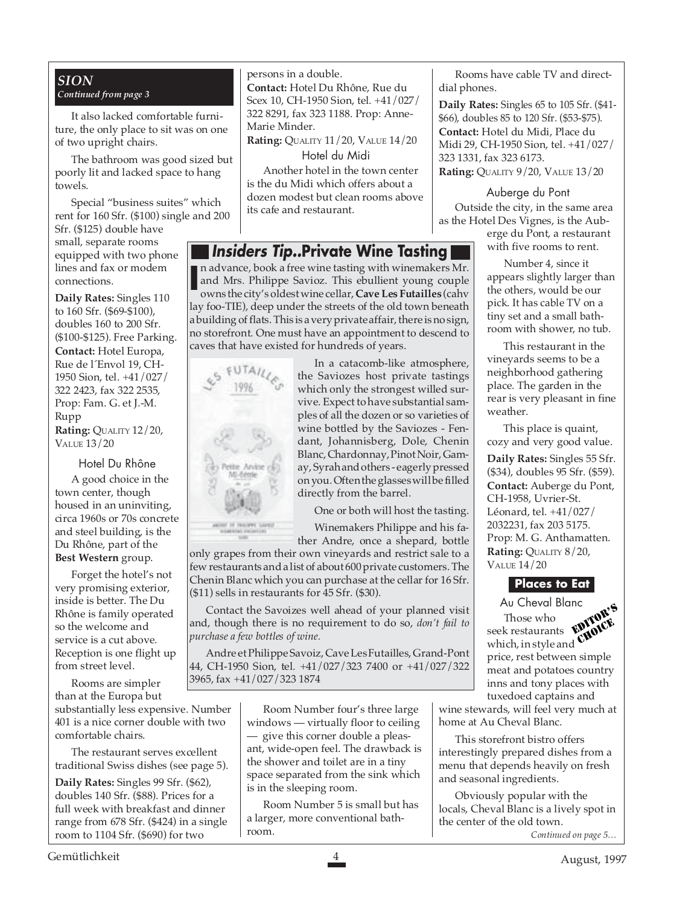#### *SION Continued from page 3*

It also lacked comfortable furniture, the only place to sit was on one of two upright chairs.

The bathroom was good sized but poorly lit and lacked space to hang towels.

Special "business suites" which rent for 160 Sfr. (\$100) single and 200

Sfr. (\$125) double have small, separate rooms equipped with two phone lines and fax or modem connections.

**Daily Rates:** Singles 110 to 160 Sfr. (\$69-\$100), doubles 160 to 200 Sfr. (\$100-\$125). Free Parking. **Contact:** Hotel Europa, Rue de l´Envol 19, CH-1950 Sion, tel. +41/027/ 322 2423, fax 322 2535, Prop: Fam. G. et J.-M. Rupp **Rating:** QUALITY 12/20, VALUE 13/20

Hotel Du Rhône

A good choice in the town center, though housed in an uninviting, circa 1960s or 70s concrete and steel building, is the Du Rhône, part of the **Best Western** group.

Forget the hotel's not very promising exterior, inside is better. The Du Rhône is family operated so the welcome and service is a cut above. Reception is one flight up from street level.

Rooms are simpler than at the Europa but

substantially less expensive. Number 401 is a nice corner double with two comfortable chairs.

The restaurant serves excellent traditional Swiss dishes (see page 5).

**Daily Rates:** Singles 99 Sfr. (\$62), doubles 140 Sfr. (\$88). Prices for a full week with breakfast and dinner range from 678 Sfr. (\$424) in a single room to 1104 Sfr. (\$690) for two

persons in a double. **Contact:** Hotel Du Rhône, Rue du Scex 10, CH-1950 Sion, tel. +41/027/ 322 8291, fax 323 1188. Prop: Anne-Marie Minder. **Rating:** QUALITY 11/20, VALUE 14/20

Hotel du Midi

Another hotel in the town center is the du Midi which offers about a dozen modest but clean rooms above its cafe and restaurant.

## **Insiders Tip..Private Wine Tasting**

n advance, book a free wine tasting with winemakers Mr. and Mrs. Philippe Savioz. This ebullient young couple owns the city's oldest wine cellar, **Cave Les Futailles** (cahv lay foo-TIE), deep under the streets of the old town beneath a building of flats. This is a very private affair, there is no sign, no storefront. One must have an appointment to descend to caves that have existed for hundreds of years. **I**



In a catacomb-like atmosphere, the Saviozes host private tastings which only the strongest willed survive. Expect to have substantial samples of all the dozen or so varieties of wine bottled by the Saviozes - Fendant, Johannisberg, Dole, Chenin Blanc, Chardonnay, Pinot Noir, Gamay, Syrah and others - eagerly pressed on you. Often the glasses will be filled directly from the barrel.

One or both will host the tasting.

Winemakers Philippe and his fa-

ther Andre, once a shepard, bottle only grapes from their own vineyards and restrict sale to a few restaurants and a list of about 600 private customers. The Chenin Blanc which you can purchase at the cellar for 16 Sfr. (\$11) sells in restaurants for 45 Sfr. (\$30).

Contact the Savoizes well ahead of your planned visit and, though there is no requirement to do so, *don't fail to purchase a few bottles of wine.*

Andre et Philippe Savoiz, Cave Les Futailles, Grand-Pont 44, CH-1950 Sion, tel. +41/027/323 7400 or +41/027/322 3965, fax +41/027/323 1874

> Room Number four's three large windows — virtually floor to ceiling — give this corner double a pleasant, wide-open feel. The drawback is the shower and toilet are in a tiny space separated from the sink which is in the sleeping room.

Room Number 5 is small but has a larger, more conventional bathroom.

Rooms have cable TV and directdial phones.

**Daily Rates:** Singles 65 to 105 Sfr. (\$41- \$66), doubles 85 to 120 Sfr. (\$53-\$75). **Contact:** Hotel du Midi, Place du Midi 29, CH-1950 Sion, tel. +41/027/ 323 1331, fax 323 6173. **Rating:** QUALITY 9/20, VALUE 13/20

Auberge du Pont

Outside the city, in the same area as the Hotel Des Vignes, is the Aub-

erge du Pont, a restaurant with five rooms to rent.

Number 4, since it appears slightly larger than the others, would be our pick. It has cable TV on a tiny set and a small bathroom with shower, no tub.

This restaurant in the vineyards seems to be a neighborhood gathering place. The garden in the rear is very pleasant in fine weather.

This place is quaint, cozy and very good value. **Daily Rates:** Singles 55 Sfr. (\$34), doubles 95 Sfr. (\$59). **Contact:** Auberge du Pont, CH-1958, Uvrier-St. Léonard, tel. +41/027/ 2032231, fax 203 5175. Prop: M. G. Anthamatten. **Rating:** QUALITY 8/20, VALUE 14/20



Au Cheval Blanc Those who seek restaurants which, in style and  $\frac{1}{2}$  restaurants  $\frac{1}{2}$   $\frac{1}{2}$   $\frac{1}{2}$   $\frac{1}{2}$   $\frac{1}{2}$   $\frac{1}{2}$   $\frac{1}{2}$   $\frac{1}{2}$   $\frac{1}{2}$   $\frac{1}{2}$   $\frac{1}{2}$   $\frac{1}{2}$   $\frac{1}{2}$   $\frac{1}{2}$   $\frac{1}{2}$   $\frac{1}{2}$   $\frac{1}{2}$   $\frac{1}{2}$   $\frac{1}{2}$   $\frac{1}{2}$ meat and potatoes country inns and tony places with tuxedoed captains and EDITOR'S CHOICE

wine stewards, will feel very much at home at Au Cheval Blanc.

This storefront bistro offers interestingly prepared dishes from a menu that depends heavily on fresh and seasonal ingredients.

Obviously popular with the locals, Cheval Blanc is a lively spot in the center of the old town.

*Continued on page 5…*

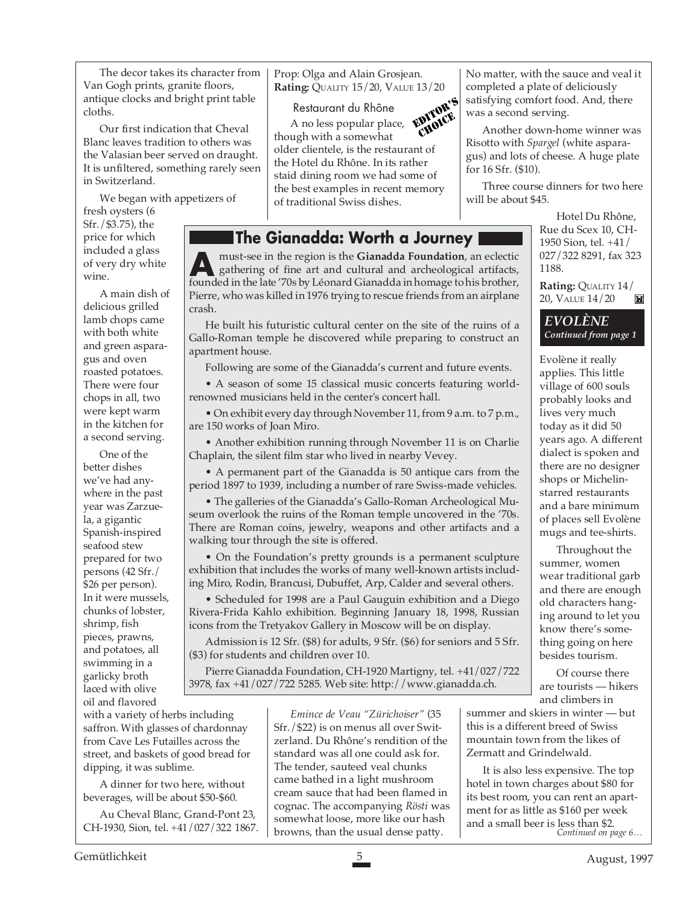The decor takes its character from Van Gogh prints, granite floors, antique clocks and bright print table cloths.

Our first indication that Cheval Blanc leaves tradition to others was the Valasian beer served on draught. It is unfiltered, something rarely seen in Switzerland.

We began with appetizers of

fresh oysters (6 Sfr./\$3.75), the price for which included a glass of very dry white wine

A main dish of delicious grilled lamb chops came with both white and green asparagus and oven roasted potatoes. There were four chops in all, two were kept warm in the kitchen for a second serving.

One of the better dishes we've had anywhere in the past year was Zarzuela, a gigantic Spanish-inspired seafood stew prepared for two persons (42 Sfr./ \$26 per person). In it were mussels, chunks of lobster, shrimp, fish pieces, prawns, and potatoes, all swimming in a garlicky broth laced with olive oil and flavored

Prop: Olga and Alain Grosjean. **Rating:** QUALITY 15/20, VALUE 13/20

Restaurant du Rhône A no less popular place, though with a somewhat older clientele, is the restaurant of the Hotel du Rhône. In its rather staid dining room we had some of the best examples in recent memory of traditional Swiss dishes. EDITOR'S CHOICE

## **The Gianadda: Worth a Journey**

must-see in the region is the **Gianadda Foundation**, an eclectic gathering of fine art and cultural and archeological artifacts, must-see in the region is the **Gianadda Foundation**, an eclectic gathering of fine art and cultural and archeological artifacts, founded in the late '70s by Léonard Gianadda in homage to his brother, Pierre, who was killed in 1976 trying to rescue friends from an airplane crash.

He built his futuristic cultural center on the site of the ruins of a Gallo-Roman temple he discovered while preparing to construct an apartment house.

Following are some of the Gianadda's current and future events.

• A season of some 15 classical music concerts featuring worldrenowned musicians held in the center's concert hall.

• On exhibit every day through November 11, from 9 a.m. to 7 p.m., are 150 works of Joan Miro.

• Another exhibition running through November 11 is on Charlie Chaplain, the silent film star who lived in nearby Vevey.

• A permanent part of the Gianadda is 50 antique cars from the period 1897 to 1939, including a number of rare Swiss-made vehicles.

• The galleries of the Gianadda's Gallo-Roman Archeological Museum overlook the ruins of the Roman temple uncovered in the '70s. There are Roman coins, jewelry, weapons and other artifacts and a walking tour through the site is offered.

• On the Foundation's pretty grounds is a permanent sculpture exhibition that includes the works of many well-known artists including Miro, Rodin, Brancusi, Dubuffet, Arp, Calder and several others.

• Scheduled for 1998 are a Paul Gauguin exhibition and a Diego Rivera-Frida Kahlo exhibition. Beginning January 18, 1998, Russian icons from the Tretyakov Gallery in Moscow will be on display.

Admission is 12 Sfr. (\$8) for adults, 9 Sfr. (\$6) for seniors and 5 Sfr. (\$3) for students and children over 10.

Pierre Gianadda Foundation, CH-1920 Martigny, tel. +41/027/722 3978, fax +41/027/722 5285. Web site: http://www.gianadda.ch.

with a variety of herbs including saffron. With glasses of chardonnay from Cave Les Futailles across the street, and baskets of good bread for dipping, it was sublime.

A dinner for two here, without beverages, will be about \$50-\$60.

Au Cheval Blanc, Grand-Pont 23, CH-1930, Sion, tel. +41/027/322 1867.

*Emince de Veau "Zürichoiser"* (35 Sfr./\$22) is on menus all over Switzerland. Du Rhône's rendition of the standard was all one could ask for. The tender, sauteed veal chunks came bathed in a light mushroom cream sauce that had been flamed in cognac. The accompanying *Rösti* was somewhat loose, more like our hash browns, than the usual dense patty.

No matter, with the sauce and veal it completed a plate of deliciously satisfying comfort food. And, there was a second serving.

Another down-home winner was Risotto with *Spargel* (white asparagus) and lots of cheese. A huge plate for 16 Sfr. (\$10).

Three course dinners for two here will be about \$45.

> Hotel Du Rhône, Rue du Scex 10, CH-1950 Sion, tel. +41/ 027/322 8291, fax 323 1188.

**Rating:** QUALITY 14/ 20, VALUE 14/20 M



Evolène it really applies. This little village of 600 souls probably looks and lives very much today as it did 50 years ago. A different dialect is spoken and there are no designer shops or Michelinstarred restaurants and a bare minimum of places sell Evolène mugs and tee-shirts.

Throughout the summer, women wear traditional garb and there are enough old characters hanging around to let you know there's something going on here besides tourism.

Of course there are tourists — hikers and climbers in

summer and skiers in winter — but this is a different breed of Swiss mountain town from the likes of Zermatt and Grindelwald.

It is also less expensive. The top hotel in town charges about \$80 for its best room, you can rent an apartment for as little as \$160 per week and a small beer is less than \$2. *Continued on page 6…*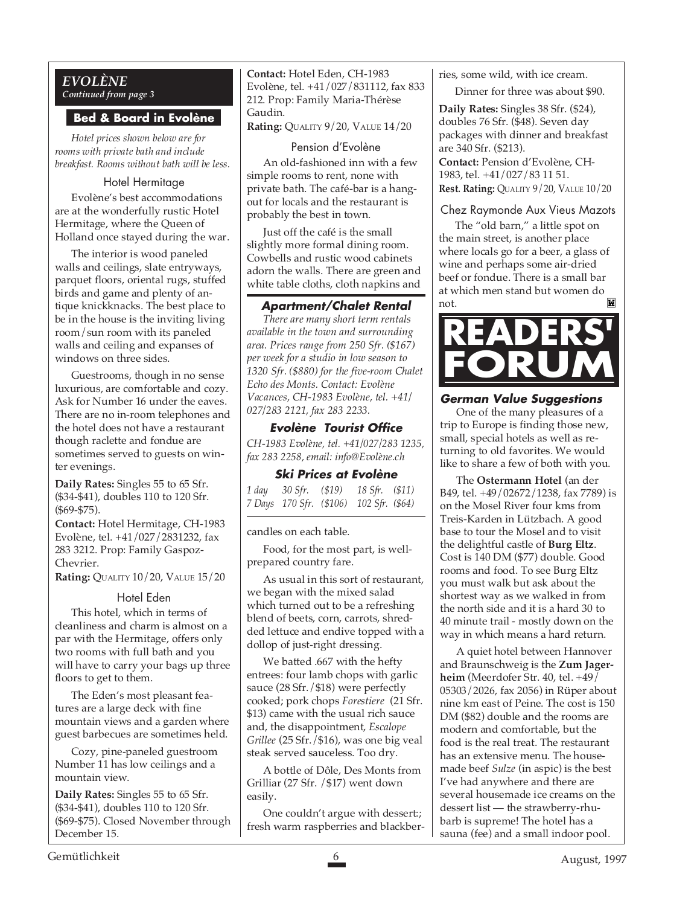#### *EVOLÈNE Continued from page 3*

#### **Bed & Board in Evolène**

*Hotel prices shown below are for rooms with private bath and include breakfast. Rooms without bath will be less.*

#### Hotel Hermitage

Evolène's best accommodations are at the wonderfully rustic Hotel Hermitage, where the Queen of Holland once stayed during the war.

The interior is wood paneled walls and ceilings, slate entryways, parquet floors, oriental rugs, stuffed birds and game and plenty of antique knickknacks. The best place to be in the house is the inviting living room/sun room with its paneled walls and ceiling and expanses of windows on three sides.

Guestrooms, though in no sense luxurious, are comfortable and cozy. Ask for Number 16 under the eaves. There are no in-room telephones and the hotel does not have a restaurant though raclette and fondue are sometimes served to guests on winter evenings.

**Daily Rates:** Singles 55 to 65 Sfr. (\$34-\$41), doubles 110 to 120 Sfr. (\$69-\$75).

**Contact:** Hotel Hermitage, CH-1983 Evolène, tel. +41/027/2831232, fax 283 3212. Prop: Family Gaspoz-Chevrier.

**Rating:** QUALITY 10/20, VALUE 15/20

#### Hotel Eden

This hotel, which in terms of cleanliness and charm is almost on a par with the Hermitage, offers only two rooms with full bath and you will have to carry your bags up three floors to get to them.

The Eden's most pleasant features are a large deck with fine mountain views and a garden where guest barbecues are sometimes held.

Cozy, pine-paneled guestroom Number 11 has low ceilings and a mountain view.

**Daily Rates:** Singles 55 to 65 Sfr. (\$34-\$41), doubles 110 to 120 Sfr. (\$69-\$75). Closed November through December 15.

**Contact:** Hotel Eden, CH-1983 Evolène, tel. +41/027/831112, fax 833 212. Prop: Family Maria-Thérèse Gaudin.

**Rating:** QUALITY 9/20, VALUE 14/20

#### Pension d'Evolène

An old-fashioned inn with a few simple rooms to rent, none with private bath. The café-bar is a hangout for locals and the restaurant is probably the best in town.

Just off the café is the small slightly more formal dining room. Cowbells and rustic wood cabinets adorn the walls. There are green and white table cloths, cloth napkins and

#### **Apartment/Chalet Rental**

*There are many short term rentals available in the town and surrounding area. Prices range from 250 Sfr. (\$167) per week for a studio in low season to 1320 Sfr. (\$880) for the five-room Chalet Echo des Monts. Contact: Evolène Vacances, CH-1983 Evolène, tel. +41/ 027/283 2121, fax 283 2233.*

#### **Evolène Tourist Office**

*CH-1983 Evolène, tel. +41/027/283 1235, fax 283 2258, email: info@Evolène.ch*

#### **Ski Prices at Evolène**

| 1 day |                                         | 30 Sfr. (\$19) 18 Sfr. (\$11) |  |
|-------|-----------------------------------------|-------------------------------|--|
|       | 7 Days 170 Sfr. (\$106) 102 Sfr. (\$64) |                               |  |

candles on each table.

Food, for the most part, is wellprepared country fare.

As usual in this sort of restaurant, we began with the mixed salad which turned out to be a refreshing blend of beets, corn, carrots, shredded lettuce and endive topped with a dollop of just-right dressing.

We batted .667 with the hefty entrees: four lamb chops with garlic sauce (28 Sfr./\$18) were perfectly cooked; pork chops *Forestiere* (21 Sfr. \$13) came with the usual rich sauce and, the disappointment, *Escalope Grillee* (25 Sfr./\$16), was one big veal steak served sauceless. Too dry.

A bottle of Dôle, Des Monts from Grilliar (27 Sfr. /\$17) went down easily.

One couldn't argue with dessert:; fresh warm raspberries and blackberries, some wild, with ice cream.

Dinner for three was about \$90.

**Daily Rates:** Singles 38 Sfr. (\$24), doubles 76 Sfr. (\$48). Seven day packages with dinner and breakfast are 340 Sfr. (\$213). **Contact:** Pension d'Evolène, CH-1983, tel. +41/027/83 11 51. **Rest. Rating:** QUALITY 9/20, VALUE 10/20

#### Chez Raymonde Aux Vieus Mazots

The "old barn," a little spot on the main street, is another place where locals go for a beer, a glass of wine and perhaps some air-dried beef or fondue. There is a small bar at which men stand but women do not.



#### **German Value Suggestions**

One of the many pleasures of a trip to Europe is finding those new, small, special hotels as well as returning to old favorites. We would like to share a few of both with you.

The **Ostermann Hotel** (an der B49, tel. +49/02672/1238, fax 7789) is on the Mosel River four kms from Treis-Karden in Lützbach. A good base to tour the Mosel and to visit the delightful castle of **Burg Eltz**. Cost is 140 DM (\$77) double. Good rooms and food. To see Burg Eltz you must walk but ask about the shortest way as we walked in from the north side and it is a hard 30 to 40 minute trail - mostly down on the way in which means a hard return.

A quiet hotel between Hannover and Braunschweig is the **Zum Jagerheim** (Meerdofer Str. 40, tel. +49/ 05303/2026, fax 2056) in Rüper about nine km east of Peine. The cost is 150 DM (\$82) double and the rooms are modern and comfortable, but the food is the real treat. The restaurant has an extensive menu. The housemade beef *Sulze* (in aspic) is the best I've had anywhere and there are several housemade ice creams on the dessert list — the strawberry-rhubarb is supreme! The hotel has a sauna (fee) and a small indoor pool.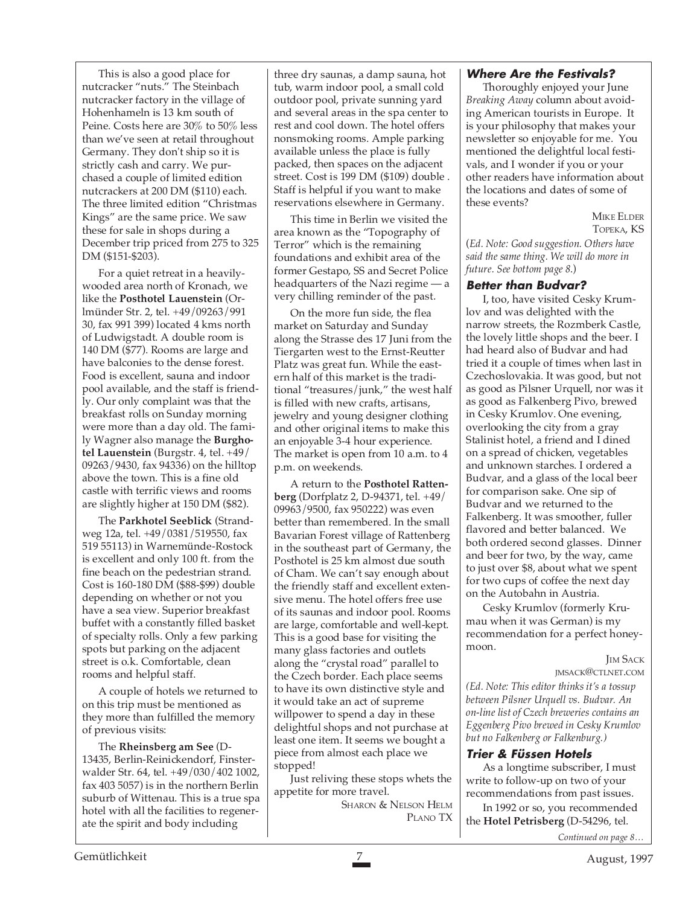This is also a good place for nutcracker "nuts." The Steinbach nutcracker factory in the village of Hohenhameln is 13 km south of Peine. Costs here are 30% to 50% less than we've seen at retail throughout Germany. They don't ship so it is strictly cash and carry. We purchased a couple of limited edition nutcrackers at 200 DM (\$110) each. The three limited edition "Christmas Kings" are the same price. We saw these for sale in shops during a December trip priced from 275 to 325 DM (\$151-\$203).

For a quiet retreat in a heavilywooded area north of Kronach, we like the **Posthotel Lauenstein** (Orlmünder Str. 2, tel. +49/09263/991 30, fax 991 399) located 4 kms north of Ludwigstadt. A double room is 140 DM (\$77). Rooms are large and have balconies to the dense forest. Food is excellent, sauna and indoor pool available, and the staff is friendly. Our only complaint was that the breakfast rolls on Sunday morning were more than a day old. The family Wagner also manage the **Burghotel Lauenstein** (Burgstr. 4, tel. +49/ 09263/9430, fax 94336) on the hilltop above the town. This is a fine old castle with terrific views and rooms are slightly higher at 150 DM (\$82).

The **Parkhotel Seeblick** (Strandweg 12a, tel. +49/0381/519550, fax 519 55113) in Warnemünde-Rostock is excellent and only 100 ft. from the fine beach on the pedestrian strand. Cost is 160-180 DM (\$88-\$99) double depending on whether or not you have a sea view. Superior breakfast buffet with a constantly filled basket of specialty rolls. Only a few parking spots but parking on the adjacent street is o.k. Comfortable, clean rooms and helpful staff.

A couple of hotels we returned to on this trip must be mentioned as they more than fulfilled the memory of previous visits:

The **Rheinsberg am See** (D-13435, Berlin-Reinickendorf, Finsterwalder Str. 64, tel. +49/030/402 1002, fax 403 5057) is in the northern Berlin suburb of Wittenau. This is a true spa hotel with all the facilities to regenerate the spirit and body including

three dry saunas, a damp sauna, hot tub, warm indoor pool, a small cold outdoor pool, private sunning yard and several areas in the spa center to rest and cool down. The hotel offers nonsmoking rooms. Ample parking available unless the place is fully packed, then spaces on the adjacent street. Cost is 199 DM (\$109) double . Staff is helpful if you want to make reservations elsewhere in Germany.

This time in Berlin we visited the area known as the "Topography of Terror" which is the remaining foundations and exhibit area of the former Gestapo, SS and Secret Police headquarters of the Nazi regime — a very chilling reminder of the past.

On the more fun side, the flea market on Saturday and Sunday along the Strasse des 17 Juni from the Tiergarten west to the Ernst-Reutter Platz was great fun. While the eastern half of this market is the traditional "treasures/junk," the west half is filled with new crafts, artisans, jewelry and young designer clothing and other original items to make this an enjoyable 3-4 hour experience. The market is open from 10 a.m. to 4 p.m. on weekends.

A return to the **Posthotel Rattenberg** (Dorfplatz 2, D-94371, tel. +49/ 09963/9500, fax 950222) was even better than remembered. In the small Bavarian Forest village of Rattenberg in the southeast part of Germany, the Posthotel is 25 km almost due south of Cham. We can't say enough about the friendly staff and excellent extensive menu. The hotel offers free use of its saunas and indoor pool. Rooms are large, comfortable and well-kept. This is a good base for visiting the many glass factories and outlets along the "crystal road" parallel to the Czech border. Each place seems to have its own distinctive style and it would take an act of supreme willpower to spend a day in these delightful shops and not purchase at least one item. It seems we bought a piece from almost each place we stopped!

Just reliving these stops whets the appetite for more travel.

SHARON & NELSON HELM PLANO TX

#### **Where Are the Festivals?**

Thoroughly enjoyed your June *Breaking Away* column about avoiding American tourists in Europe. It is your philosophy that makes your newsletter so enjoyable for me. You mentioned the delightful local festivals, and I wonder if you or your other readers have information about the locations and dates of some of these events?

> MIKE ELDER TOPEKA, KS

(*Ed. Note: Good suggestion. Others have said the same thing. We will do more in future. See bottom page 8*.)

#### **Better than Budvar?**

I, too, have visited Cesky Krumlov and was delighted with the narrow streets, the Rozmberk Castle, the lovely little shops and the beer. I had heard also of Budvar and had tried it a couple of times when last in Czechoslovakia. It was good, but not as good as Pilsner Urquell, nor was it as good as Falkenberg Pivo, brewed in Cesky Krumlov. One evening, overlooking the city from a gray Stalinist hotel, a friend and I dined on a spread of chicken, vegetables and unknown starches. I ordered a Budvar, and a glass of the local beer for comparison sake. One sip of Budvar and we returned to the Falkenberg. It was smoother, fuller flavored and better balanced. We both ordered second glasses. Dinner and beer for two, by the way, came to just over \$8, about what we spent for two cups of coffee the next day on the Autobahn in Austria.

Cesky Krumlov (formerly Krumau when it was German) is my recommendation for a perfect honeymoon.

#### **JIM SACK** JMSACK@CTLNET.COM

*(Ed. Note: This editor thinks it's a tossup between Pilsner Urquell vs. Budvar. An on-line list of Czech breweries contains an Eggenberg Pivo brewed in Cesky Krumlov but no Falkenberg or Falkenburg.)*

#### **Trier & Füssen Hotels**

As a longtime subscriber, I must write to follow-up on two of your recommendations from past issues.

In 1992 or so, you recommended the **Hotel Petrisberg** (D-54296, tel.

*Continued on page 8…*